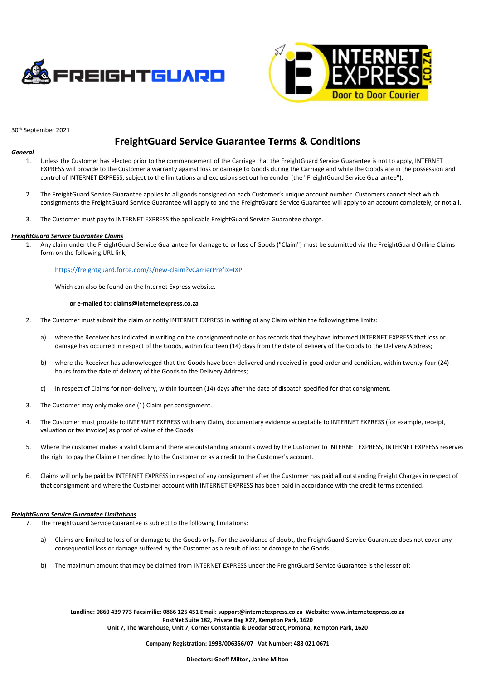



30th September 2021

# **FreightGuard Service Guarantee Terms & Conditions**

## *General*

- 1. Unless the Customer has elected prior to the commencement of the Carriage that the FreightGuard Service Guarantee is not to apply, INTERNET EXPRESS will provide to the Customer a warranty against loss or damage to Goods during the Carriage and while the Goods are in the possession and control of INTERNET EXPRESS, subject to the limitations and exclusions set out hereunder (the "FreightGuard Service Guarantee").
- 2. The FreightGuard Service Guarantee applies to all goods consigned on each Customer's unique account number. Customers cannot elect which consignments the FreightGuard Service Guarantee will apply to and the FreightGuard Service Guarantee will apply to an account completely, or not all.
- 3. The Customer must pay to INTERNET EXPRESS the applicable FreightGuard Service Guarantee charge.

### *FreightGuard Service Guarantee Claims*

1. Any claim under the FreightGuard Service Guarantee for damage to or loss of Goods ("Claim") must be submitted via the FreightGuard Online Claims form on the following URL link;

## <https://freightguard.force.com/s/new-claim?vCarrierPrefix=IXP>

Which can also be found on the Internet Express website.

# **or e-mailed to: claims@internetexpress.co.za**

- 2. The Customer must submit the claim or notify INTERNET EXPRESS in writing of any Claim within the following time limits:
	- a) where the Receiver has indicated in writing on the consignment note or has records that they have informed INTERNET EXPRESS that loss or damage has occurred in respect of the Goods, within fourteen (14) days from the date of delivery of the Goods to the Delivery Address;
	- b) where the Receiver has acknowledged that the Goods have been delivered and received in good order and condition, within twenty-four (24) hours from the date of delivery of the Goods to the Delivery Address;
	- c) in respect of Claims for non-delivery, within fourteen (14) days after the date of dispatch specified for that consignment.
- 3. The Customer may only make one (1) Claim per consignment.
- 4. The Customer must provide to INTERNET EXPRESS with any Claim, documentary evidence acceptable to INTERNET EXPRESS (for example, receipt, valuation or tax invoice) as proof of value of the Goods.
- 5. Where the customer makes a valid Claim and there are outstanding amounts owed by the Customer to INTERNET EXPRESS, INTERNET EXPRESS reserves the right to pay the Claim either directly to the Customer or as a credit to the Customer's account.
- 6. Claims will only be paid by INTERNET EXPRESS in respect of any consignment after the Customer has paid all outstanding Freight Charges in respect of that consignment and where the Customer account with INTERNET EXPRESS has been paid in accordance with the credit terms extended.

## *FreightGuard Service Guarantee Limitations*

- 7. The FreightGuard Service Guarantee is subject to the following limitations:
	- a) Claims are limited to loss of or damage to the Goods only. For the avoidance of doubt, the FreightGuard Service Guarantee does not cover any consequential loss or damage suffered by the Customer as a result of loss or damage to the Goods.
	- b) The maximum amount that may be claimed from INTERNET EXPRESS under the FreightGuard Service Guarantee is the lesser of:

**Landline: 0860 439 773 Facsimilie: 0866 125 451 Email[: support@internetexpress.co.za](mailto:support@internetexpress.co.za) Website[: www.internetexpress.co.za](http://www.internetexpress.co.za/) PostNet Suite 182, Private Bag X27, Kempton Park, 1620 Unit 7, The Warehouse, Unit 7, Corner Constantia & Deodar Street, Pomona, Kempton Park, 1620**